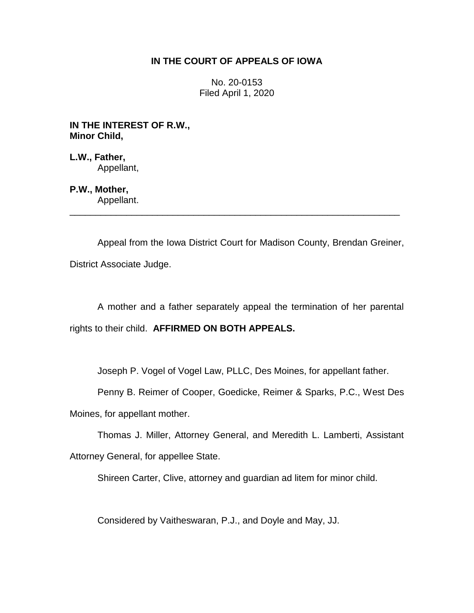## **IN THE COURT OF APPEALS OF IOWA**

No. 20-0153 Filed April 1, 2020

**IN THE INTEREST OF R.W., Minor Child,**

**L.W., Father,** Appellant,

**P.W., Mother,** Appellant.

Appeal from the Iowa District Court for Madison County, Brendan Greiner, District Associate Judge.

\_\_\_\_\_\_\_\_\_\_\_\_\_\_\_\_\_\_\_\_\_\_\_\_\_\_\_\_\_\_\_\_\_\_\_\_\_\_\_\_\_\_\_\_\_\_\_\_\_\_\_\_\_\_\_\_\_\_\_\_\_\_\_\_

A mother and a father separately appeal the termination of her parental rights to their child. **AFFIRMED ON BOTH APPEALS.**

Joseph P. Vogel of Vogel Law, PLLC, Des Moines, for appellant father.

Penny B. Reimer of Cooper, Goedicke, Reimer & Sparks, P.C., West Des

Moines, for appellant mother.

Thomas J. Miller, Attorney General, and Meredith L. Lamberti, Assistant

Attorney General, for appellee State.

Shireen Carter, Clive, attorney and guardian ad litem for minor child.

Considered by Vaitheswaran, P.J., and Doyle and May, JJ.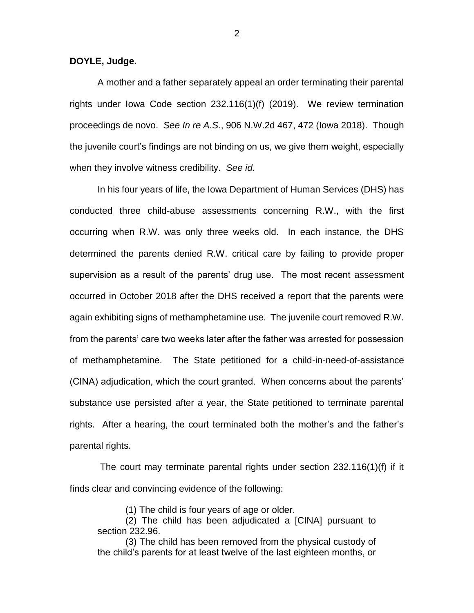**DOYLE, Judge.**

A mother and a father separately appeal an order terminating their parental rights under Iowa Code section 232.116(1)(f) (2019). We review termination proceedings de novo. *See In re A.S*., 906 N.W.2d 467, 472 (Iowa 2018). Though the juvenile court's findings are not binding on us, we give them weight, especially when they involve witness credibility. *See id.*

In his four years of life, the Iowa Department of Human Services (DHS) has conducted three child-abuse assessments concerning R.W., with the first occurring when R.W. was only three weeks old. In each instance, the DHS determined the parents denied R.W. critical care by failing to provide proper supervision as a result of the parents' drug use. The most recent assessment occurred in October 2018 after the DHS received a report that the parents were again exhibiting signs of methamphetamine use. The juvenile court removed R.W. from the parents' care two weeks later after the father was arrested for possession of methamphetamine. The State petitioned for a child-in-need-of-assistance (CINA) adjudication, which the court granted. When concerns about the parents' substance use persisted after a year, the State petitioned to terminate parental rights. After a hearing, the court terminated both the mother's and the father's parental rights.

The court may terminate parental rights under section 232.116(1)(f) if it finds clear and convincing evidence of the following:

(1) The child is four years of age or older.

(2) The child has been adjudicated a [CINA] pursuant to section 232.96.

(3) The child has been removed from the physical custody of the child's parents for at least twelve of the last eighteen months, or

2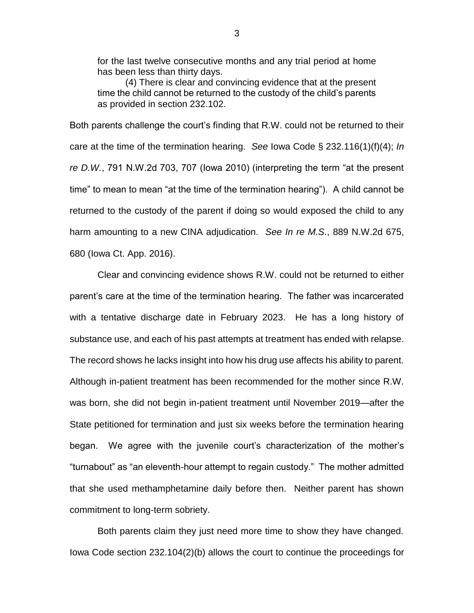for the last twelve consecutive months and any trial period at home has been less than thirty days.

(4) There is clear and convincing evidence that at the present time the child cannot be returned to the custody of the child's parents as provided in section 232.102.

Both parents challenge the court's finding that R.W. could not be returned to their care at the time of the termination hearing. *See* Iowa Code § 232.116(1)(f)(4); *In re D.W.*, 791 N.W.2d 703, 707 (Iowa 2010) (interpreting the term "at the present time" to mean to mean "at the time of the termination hearing"). A child cannot be returned to the custody of the parent if doing so would exposed the child to any harm amounting to a new CINA adjudication. *See In re M.S*., 889 N.W.2d 675, 680 (Iowa Ct. App. 2016).

Clear and convincing evidence shows R.W. could not be returned to either parent's care at the time of the termination hearing. The father was incarcerated with a tentative discharge date in February 2023. He has a long history of substance use, and each of his past attempts at treatment has ended with relapse. The record shows he lacks insight into how his drug use affects his ability to parent. Although in-patient treatment has been recommended for the mother since R.W. was born, she did not begin in-patient treatment until November 2019—after the State petitioned for termination and just six weeks before the termination hearing began. We agree with the juvenile court's characterization of the mother's "turnabout" as "an eleventh-hour attempt to regain custody." The mother admitted that she used methamphetamine daily before then. Neither parent has shown commitment to long-term sobriety.

Both parents claim they just need more time to show they have changed. Iowa Code section 232.104(2)(b) allows the court to continue the proceedings for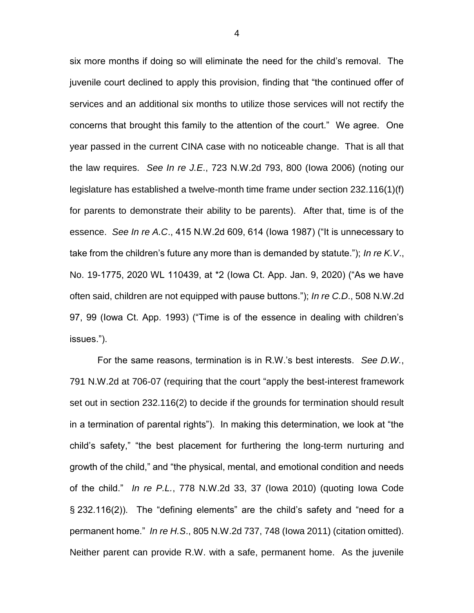six more months if doing so will eliminate the need for the child's removal. The juvenile court declined to apply this provision, finding that "the continued offer of services and an additional six months to utilize those services will not rectify the concerns that brought this family to the attention of the court." We agree. One year passed in the current CINA case with no noticeable change. That is all that the law requires. *See In re J.E*., 723 N.W.2d 793, 800 (Iowa 2006) (noting our legislature has established a twelve-month time frame under section 232.116(1)(f) for parents to demonstrate their ability to be parents). After that, time is of the essence. *See In re A.C*., 415 N.W.2d 609, 614 (Iowa 1987) ("It is unnecessary to take from the children's future any more than is demanded by statute."); *In re K.V*., No. 19-1775, 2020 WL 110439, at \*2 (Iowa Ct. App. Jan. 9, 2020) ("As we have often said, children are not equipped with pause buttons."); *In re C.D*., 508 N.W.2d 97, 99 (Iowa Ct. App. 1993) ("Time is of the essence in dealing with children's issues.").

For the same reasons, termination is in R.W.'s best interests. *See D.W.*, 791 N.W.2d at 706-07 (requiring that the court "apply the best-interest framework set out in section 232.116(2) to decide if the grounds for termination should result in a termination of parental rights"). In making this determination, we look at "the child's safety," "the best placement for furthering the long-term nurturing and growth of the child," and "the physical, mental, and emotional condition and needs of the child." *In re P.L.*, 778 N.W.2d 33, 37 (Iowa 2010) (quoting Iowa Code § 232.116(2)). The "defining elements" are the child's safety and "need for a permanent home." *In re H.S*., 805 N.W.2d 737, 748 (Iowa 2011) (citation omitted). Neither parent can provide R.W. with a safe, permanent home. As the juvenile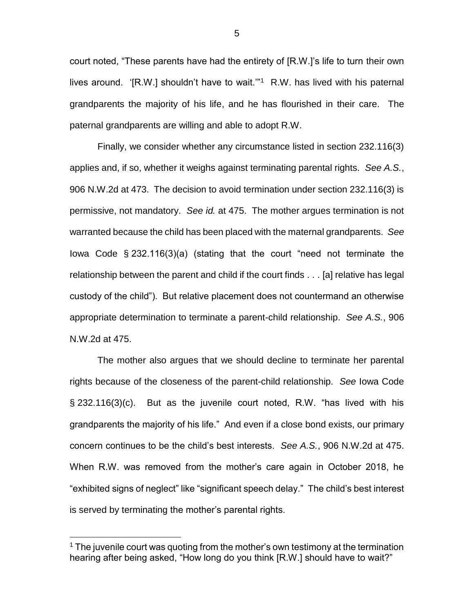court noted, "These parents have had the entirety of [R.W.]'s life to turn their own lives around. '[R.W.] shouldn't have to wait."<sup>1</sup> R.W. has lived with his paternal grandparents the majority of his life, and he has flourished in their care. The paternal grandparents are willing and able to adopt R.W.

Finally, we consider whether any circumstance listed in section 232.116(3) applies and, if so, whether it weighs against terminating parental rights. *See A.S.*, 906 N.W.2d at 473. The decision to avoid termination under section 232.116(3) is permissive, not mandatory. *See id.* at 475. The mother argues termination is not warranted because the child has been placed with the maternal grandparents. *See*  Iowa Code § 232.116(3)(a) (stating that the court "need not terminate the relationship between the parent and child if the court finds . . . [a] relative has legal custody of the child"). But relative placement does not countermand an otherwise appropriate determination to terminate a parent-child relationship. *See A.S.*, 906 N.W.2d at 475.

The mother also argues that we should decline to terminate her parental rights because of the closeness of the parent-child relationship. *See* Iowa Code § 232.116(3)(c). But as the juvenile court noted, R.W. "has lived with his grandparents the majority of his life." And even if a close bond exists, our primary concern continues to be the child's best interests. *See A.S.*, 906 N.W.2d at 475. When R.W. was removed from the mother's care again in October 2018, he "exhibited signs of neglect" like "significant speech delay." The child's best interest is served by terminating the mother's parental rights.

 $\overline{a}$ 

5

 $1$  The juvenile court was quoting from the mother's own testimony at the termination hearing after being asked, "How long do you think [R.W.] should have to wait?"